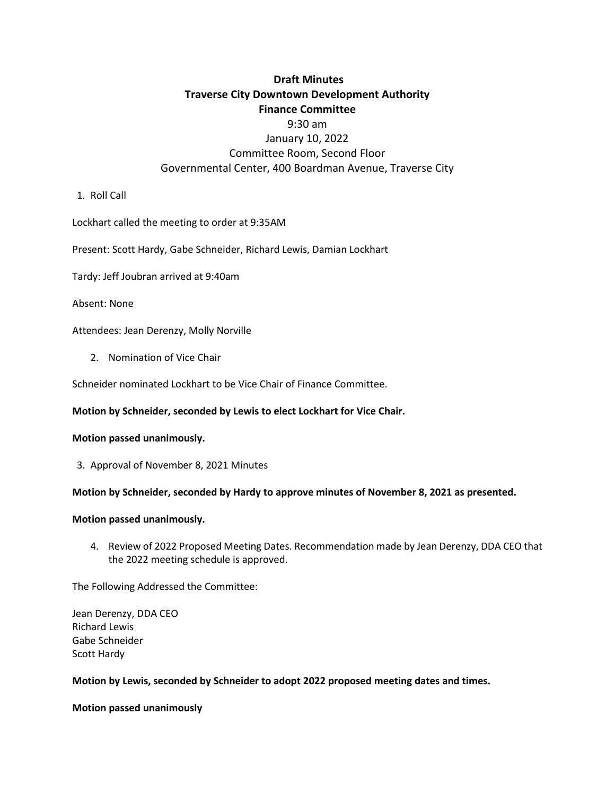# **Draft Minutes Traverse City Downtown Development Authority Finance Committee**

## 9:30 am January 10, 2022 Committee Room, Second Floor Governmental Center, 400 Boardman Avenue, Traverse City

1. Roll Call

Lockhart called the meeting to order at 9:35AM

Present: Scott Hardy, Gabe Schneider, Richard Lewis, Damian Lockhart

Tardy: Jeff Joubran arrived at 9:40am

Absent: None

Attendees: Jean Derenzy, Molly Norville

2. Nomination of Vice Chair

Schneider nominated Lockhart to be Vice Chair of Finance Committee.

#### **Motion by Schneider, seconded by Lewis to elect Lockhart for Vice Chair.**

#### **Motion passed unanimously.**

3. Approval of November 8, 2021 Minutes

#### **Motion by Schneider, seconded by Hardy to approve minutes of November 8, 2021 as presented.**

#### **Motion passed unanimously.**

4. Review of 2022 Proposed Meeting Dates. Recommendation made by Jean Derenzy, DDA CEO that the 2022 meeting schedule is approved.

The Following Addressed the Committee:

Jean Derenzy, DDA CEO Richard Lewis Gabe Schneider Scott Hardy

#### **Motion by Lewis, seconded by Schneider to adopt 2022 proposed meeting dates and times.**

**Motion passed unanimously**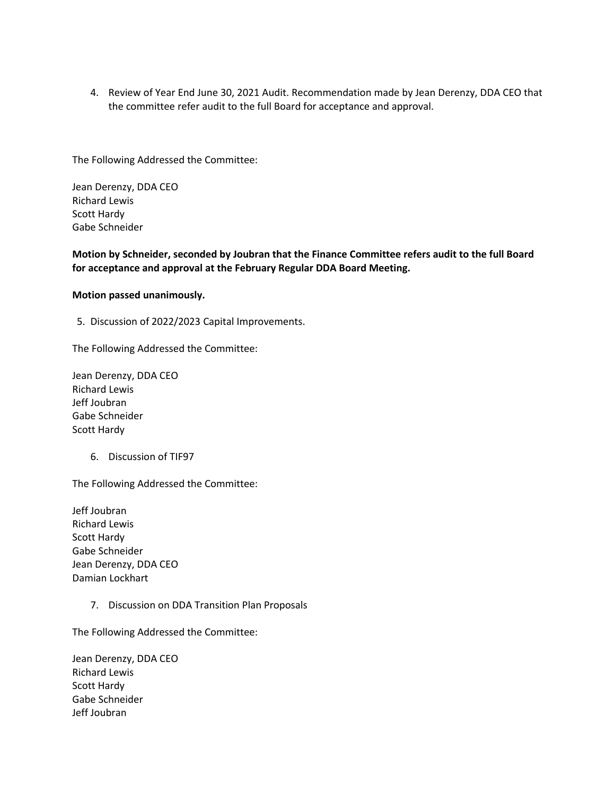4. Review of Year End June 30, 2021 Audit. Recommendation made by Jean Derenzy, DDA CEO that the committee refer audit to the full Board for acceptance and approval.

The Following Addressed the Committee:

Jean Derenzy, DDA CEO Richard Lewis Scott Hardy Gabe Schneider

### **Motion by Schneider, seconded by Joubran that the Finance Committee refers audit to the full Board for acceptance and approval at the February Regular DDA Board Meeting.**

#### **Motion passed unanimously.**

5. Discussion of 2022/2023 Capital Improvements.

The Following Addressed the Committee:

Jean Derenzy, DDA CEO Richard Lewis Jeff Joubran Gabe Schneider Scott Hardy

6. Discussion of TIF97

The Following Addressed the Committee:

Jeff Joubran Richard Lewis Scott Hardy Gabe Schneider Jean Derenzy, DDA CEO Damian Lockhart

7. Discussion on DDA Transition Plan Proposals

The Following Addressed the Committee:

Jean Derenzy, DDA CEO Richard Lewis Scott Hardy Gabe Schneider Jeff Joubran